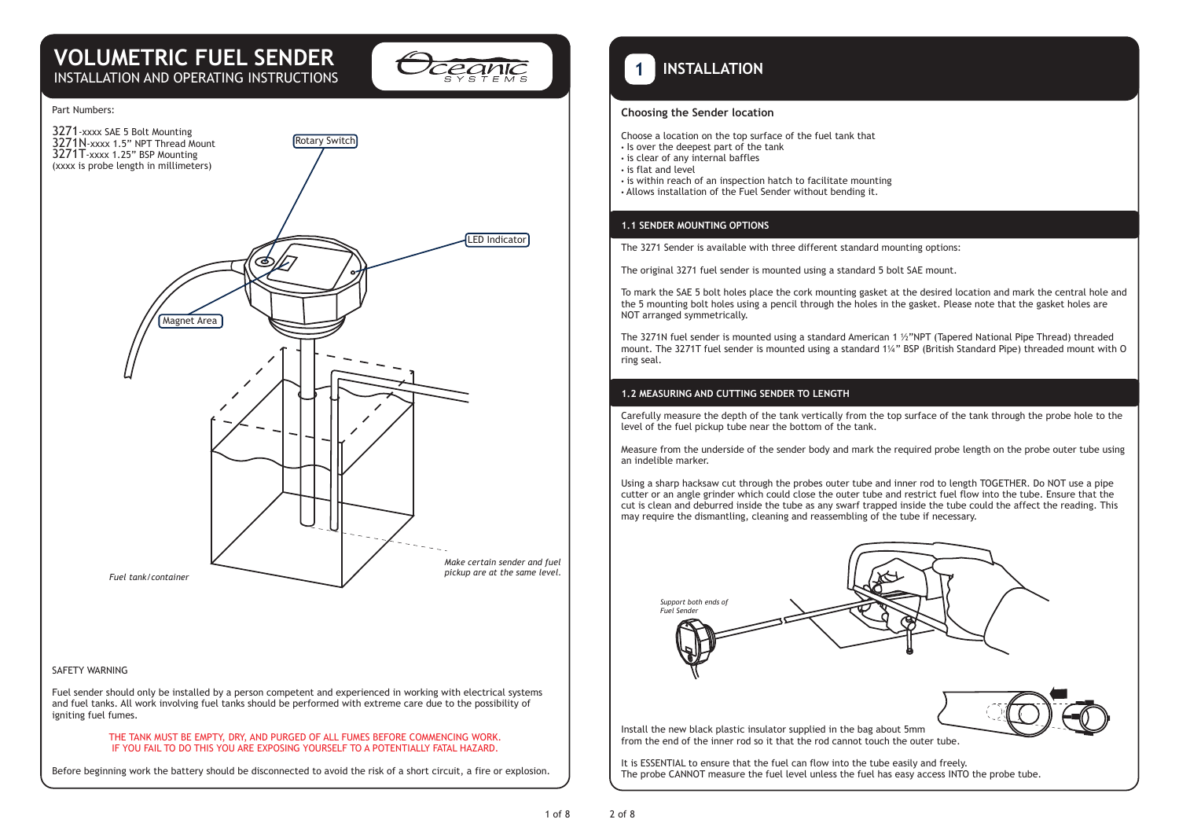# **VOLUMETRIC FUEL SENDER** INSTALLATION AND OPERATING INSTRUCTIONS



#### Part Numbers:



### SAFETY WARNING

Fuel sender should only be installed by a person competent and experienced in working with electrical systems and fuel tanks. All work involving fuel tanks should be performed with extreme care due to the possibility of igniting fuel fumes.

#### THE TANK MUST BE EMPTY, DRY, AND PURGED OF ALL FUMES BEFORE COMMENCING WORK. IF YOU FAIL TO DO THIS YOU ARE EXPOSING YOURSELF TO A POTENTIALLY FATAL HAZARD.

Before beginning work the battery should be disconnected to avoid the risk of a short circuit, a fire or explosion.

 **INSTALLATION 1**

### **Choosing the Sender location**

- Choose a location on the top surface of the fuel tank that
- Is over the deepest part of the tank
- is clear of any internal baffles
- is flat and level
- is within reach of an inspection hatch to facilitate mounting
- Allows installation of the Fuel Sender without bending it.

## **1.1 SENDER MOUNTING OPTIONS**

The 3271 Sender is available with three different standard mounting options:

The original 3271 fuel sender is mounted using a standard 5 bolt SAE mount.

To mark the SAE 5 bolt holes place the cork mounting gasket at the desired location and mark the central hole and the 5 mounting bolt holes using a pencil through the holes in the gasket. Please note that the gasket holes are NOT arranged symmetrically.

The 3271N fuel sender is mounted using a standard American 1 ½"NPT (Tapered National Pipe Thread) threaded mount. The 3271T fuel sender is mounted using a standard 1¼" BSP (British Standard Pipe) threaded mount with O ring seal.

### **1.2 MEASURING AND CUTTING SENDER TO LENGTH**

Carefully measure the depth of the tank vertically from the top surface of the tank through the probe hole to the level of the fuel pickup tube near the bottom of the tank.

Measure from the underside of the sender body and mark the required probe length on the probe outer tube using an indelible marker.

Using a sharp hacksaw cut through the probes outer tube and inner rod to length TOGETHER. Do NOT use a pipe cutter or an angle grinder which could close the outer tube and restrict fuel flow into the tube. Ensure that the cut is clean and deburred inside the tube as any swarf trapped inside the tube could the affect the reading. This may require the dismantling, cleaning and reassembling of the tube if necessary.



It is ESSENTIAL to ensure that the fuel can flow into the tube easily and freely. The probe CANNOT measure the fuel level unless the fuel has easy access INTO the probe tube.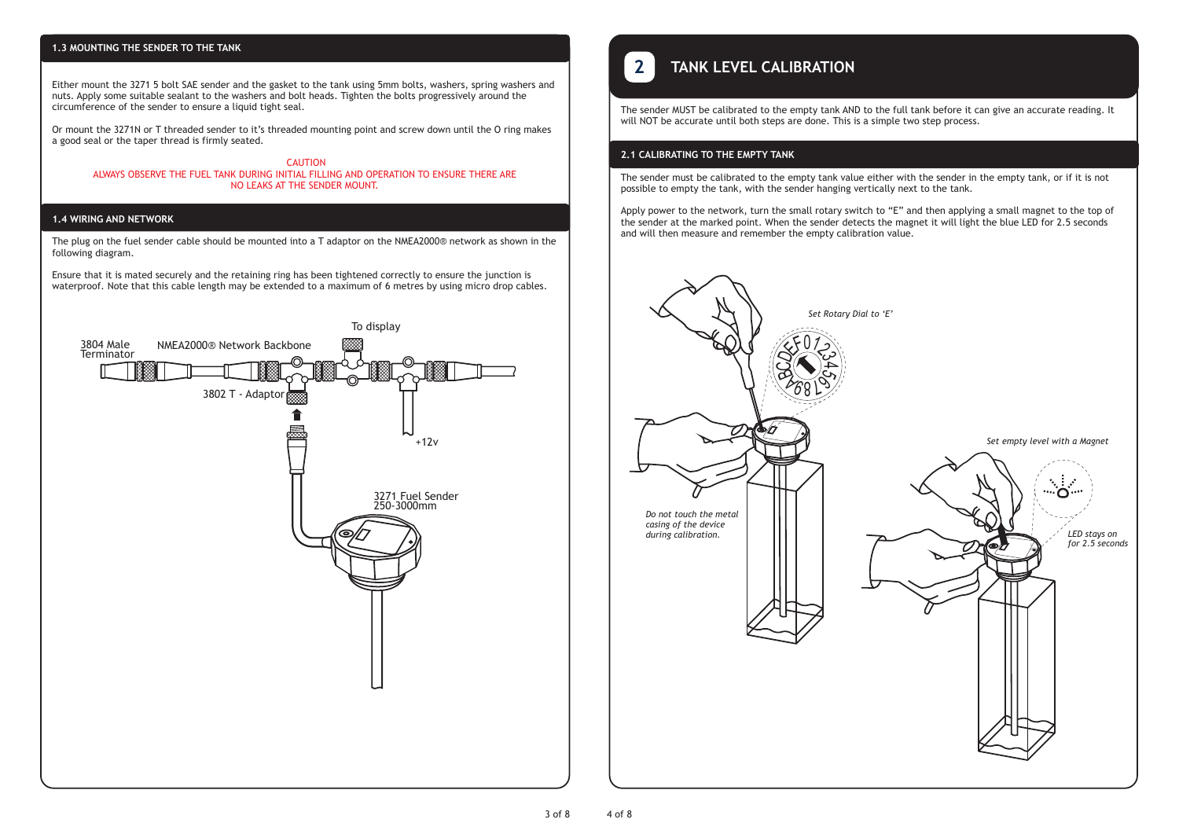### **1.3 MOUNTING THE SENDER TO THE TANK**

Either mount the 3271 5 bolt SAE sender and the gasket to the tank using 5mm bolts, washers, spring washers and nuts. Apply some suitable sealant to the washers and bolt heads. Tighten the bolts progressively around the circumference of the sender to ensure a liquid tight seal.

Or mount the 3271N or T threaded sender to it's threaded mounting point and screw down until the O ring makes a good seal or the taper thread is firmly seated.

 CAUTION ALWAYS OBSERVE THE FUEL TANK DURING INITIAL FILLING AND OPERATION TO ENSURE THERE ARE NO LEAKS AT THE SENDER MOUNT.

#### **1.4 WIRING AND NETWORK**

The plug on the fuel sender cable should be mounted into a T adaptor on the NMEA2000® network as shown in the following diagram.

Ensure that it is mated securely and the retaining ring has been tightened correctly to ensure the junction is waterproof. Note that this cable length may be extended to a maximum of 6 metres by using micro drop cables.



# **TANK LEVEL CALIBRATION**

The sender MUST be calibrated to the empty tank AND to the full tank before it can give an accurate reading. It will NOT be accurate until both steps are done. This is a simple two step process.

### **2.1 CALIBRATING TO THE EMPTY TANK**

The sender must be calibrated to the empty tank value either with the sender in the empty tank, or if it is not possible to empty the tank, with the sender hanging vertically next to the tank.

Apply power to the network, turn the small rotary switch to "E" and then applying a small magnet to the top of the sender at the marked point. When the sender detects the magnet it will light the blue LED for 2.5 seconds and will then measure and remember the empty calibration value.

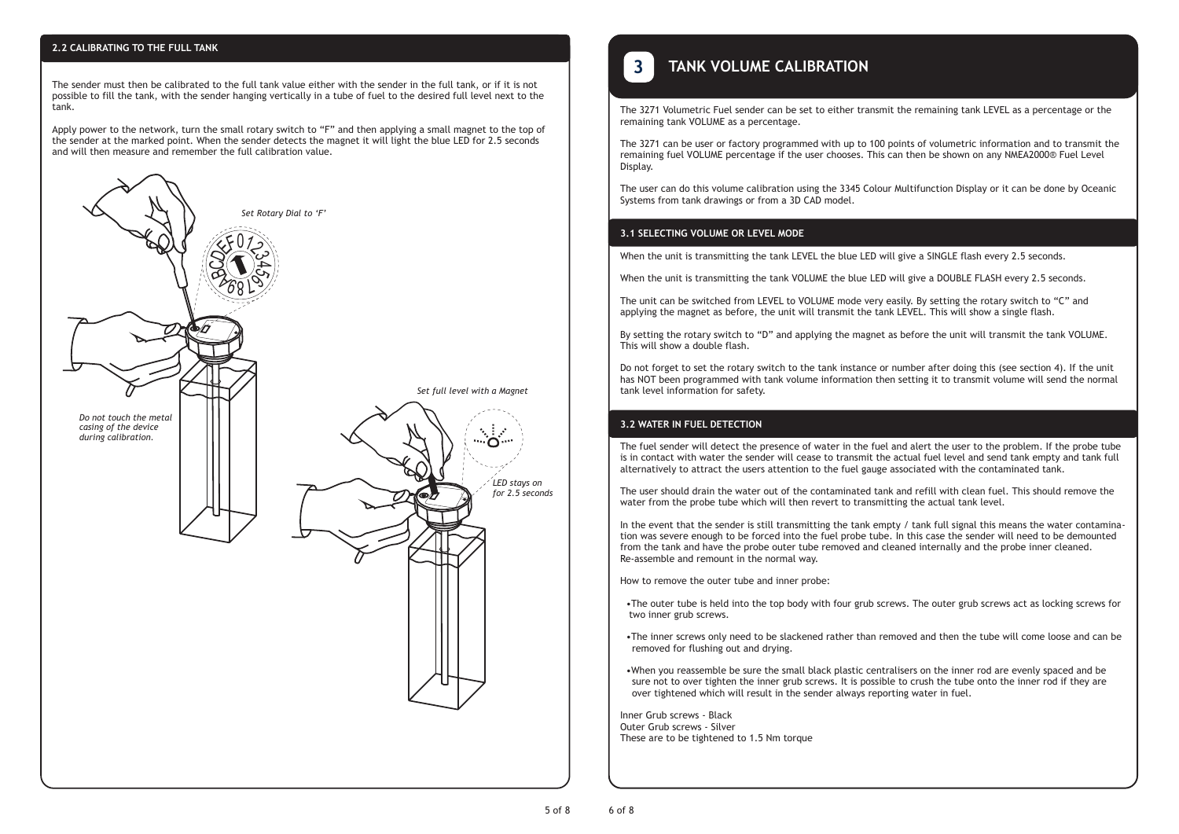### **2.2 CALIBRATING TO THE FULL TANK**

The sender must then be calibrated to the full tank value either with the sender in the full tank, or if it is not possible to fill the tank, with the sender hanging vertically in a tube of fuel to the desired full level next to the tank.

Apply power to the network, turn the small rotary switch to "F" and then applying a small magnet to the top of the sender at the marked point. When the sender detects the magnet it will light the blue LED for 2.5 seconds and will then measure and remember the full calibration value.



# **TANK VOLUME CALIBRATION 3**

The 3271 Volumetric Fuel sender can be set to either transmit the remaining tank LEVEL as a percentage or the remaining tank VOLUME as a percentage.

The 3271 can be user or factory programmed with up to 100 points of volumetric information and to transmit the remaining fuel VOLUME percentage if the user chooses. This can then be shown on any NMEA2000® Fuel Level Display.

The user can do this volume calibration using the 3345 Colour Multifunction Display or it can be done by Oceanic Systems from tank drawings or from a 3D CAD model.

### **3.1 SELECTING VOLUME OR LEVEL MODE**

When the unit is transmitting the tank LEVEL the blue LED will give a SINGLE flash every 2.5 seconds.

When the unit is transmitting the tank VOLUME the blue LED will give a DOUBLE FLASH every 2.5 seconds.

The unit can be switched from LEVEL to VOLUME mode very easily. By setting the rotary switch to "C" and applying the magnet as before, the unit will transmit the tank LEVEL. This will show a single flash.

By setting the rotary switch to "D" and applying the magnet as before the unit will transmit the tank VOLUME. This will show a double flash.

Do not forget to set the rotary switch to the tank instance or number after doing this (see section 4). If the unit has NOT been programmed with tank volume information then setting it to transmit volume will send the normal tank level information for safety.

### **3.2 WATER IN FUEL DETECTION**

The fuel sender will detect the presence of water in the fuel and alert the user to the problem. If the probe tube is in contact with water the sender will cease to transmit the actual fuel level and send tank empty and tank full alternatively to attract the users attention to the fuel gauge associated with the contaminated tank.

The user should drain the water out of the contaminated tank and refill with clean fuel. This should remove the water from the probe tube which will then revert to transmitting the actual tank level.

In the event that the sender is still transmitting the tank empty / tank full signal this means the water contamination was severe enough to be forced into the fuel probe tube. In this case the sender will need to be demounted from the tank and have the probe outer tube removed and cleaned internally and the probe inner cleaned. Re-assemble and remount in the normal way.

How to remove the outer tube and inner probe:

 •The outer tube is held into the top body with four grub screws. The outer grub screws act as locking screws for two inner grub screws.

 •The inner screws only need to be slackened rather than removed and then the tube will come loose and can be removed for flushing out and drying.

 •When you reassemble be sure the small black plastic centralisers on the inner rod are evenly spaced and be sure not to over tighten the inner grub screws. It is possible to crush the tube onto the inner rod if they are over tightened which will result in the sender always reporting water in fuel.

Inner Grub screws - Black Outer Grub screws - Silver These are to be tightened to 1.5 Nm torque